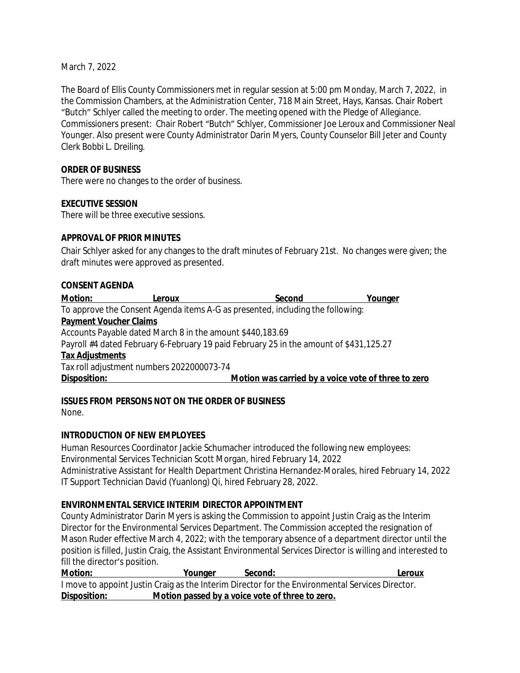March 7, 2022

The Board of Ellis County Commissioners met in regular session at 5:00 pm Monday, March 7, 2022, in the Commission Chambers, at the Administration Center, 718 Main Street, Hays, Kansas. Chair Robert "Butch" Schlyer called the meeting to order. The meeting opened with the Pledge of Allegiance. Commissioners present: Chair Robert "Butch" Schlyer, Commissioner Joe Leroux and Commissioner Neal Younger. Also present were County Administrator Darin Myers, County Counselor Bill Jeter and County Clerk Bobbi L. Dreiling.

#### **ORDER OF BUSINESS**

There were no changes to the order of business.

#### **EXECUTIVE SESSION**

There will be three executive sessions.

#### **APPROVAL OF PRIOR MINUTES**

Chair Schlyer asked for any changes to the draft minutes of February 21st. No changes were given; the draft minutes were approved as presented.

#### **CONSENT AGENDA**

| <b>Motion:</b>                | Leroux                                                    | Second                                                                                 | Younger |
|-------------------------------|-----------------------------------------------------------|----------------------------------------------------------------------------------------|---------|
|                               |                                                           | To approve the Consent Agenda items A-G as presented, including the following:         |         |
| <b>Payment Voucher Claims</b> |                                                           |                                                                                        |         |
|                               | Accounts Payable dated March 8 in the amount \$440,183.69 |                                                                                        |         |
|                               |                                                           | Payroll #4 dated February 6-February 19 paid February 25 in the amount of \$431,125.27 |         |
| <b>Tax Adjustments</b>        |                                                           |                                                                                        |         |
|                               | Tax roll adjustment numbers 2022000073-74                 |                                                                                        |         |
| Disposition:                  |                                                           | Motion was carried by a voice vote of three to zero                                    |         |
|                               |                                                           |                                                                                        |         |

## **ISSUES FROM PERSONS NOT ON THE ORDER OF BUSINESS**

None.

## **INTRODUCTION OF NEW EMPLOYEES**

Human Resources Coordinator Jackie Schumacher introduced the following new employees: Environmental Services Technician Scott Morgan, hired February 14, 2022 Administrative Assistant for Health Department Christina Hernandez-Morales, hired February 14, 2022 IT Support Technician David (Yuanlong) Qi, hired February 28, 2022.

## **ENVIRONMENTAL SERVICE INTERIM DIRECTOR APPOINTMENT**

County Administrator Darin Myers is asking the Commission to appoint Justin Craig as the Interim Director for the Environmental Services Department. The Commission accepted the resignation of Mason Ruder effective March 4, 2022; with the temporary absence of a department director until the position is filled, Justin Craig, the Assistant Environmental Services Director is willing and interested to fill the director's position.

| <b>Motion:</b> | Younger                                         | Second: | Leroux                                                                                          |
|----------------|-------------------------------------------------|---------|-------------------------------------------------------------------------------------------------|
|                |                                                 |         | I move to appoint Justin Craig as the Interim Director for the Environmental Services Director. |
| Disposition:   | Motion passed by a voice vote of three to zero. |         |                                                                                                 |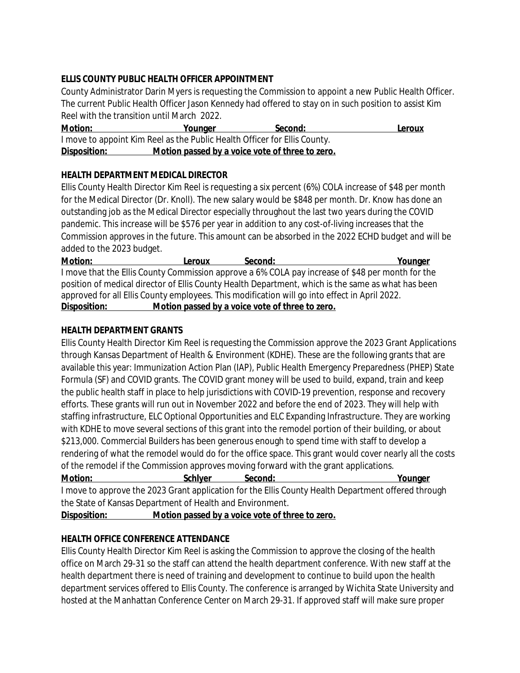# **ELLIS COUNTY PUBLIC HEALTH OFFICER APPOINTMENT**

County Administrator Darin Myers is requesting the Commission to appoint a new Public Health Officer. The current Public Health Officer Jason Kennedy had offered to stay on in such position to assist Kim Reel with the transition until March 2022.

**Motion: Younger Second: Leroux** I move to appoint Kim Reel as the Public Health Officer for Ellis County. **Disposition: Motion passed by a voice vote of three to zero.**

# **HEALTH DEPARTMENT MEDICAL DIRECTOR**

Ellis County Health Director Kim Reel is requesting a six percent (6%) COLA increase of \$48 per month for the Medical Director (Dr. Knoll). The new salary would be \$848 per month. Dr. Know has done an outstanding job as the Medical Director especially throughout the last two years during the COVID pandemic. This increase will be \$576 per year in addition to any cost-of-living increases that the Commission approves in the future. This amount can be absorbed in the 2022 ECHD budget and will be added to the 2023 budget.

**Motion: Leroux Second: Younger** I move that the Ellis County Commission approve a 6% COLA pay increase of \$48 per month for the position of medical director of Ellis County Health Department, which is the same as what has been approved for all Ellis County employees. This modification will go into effect in April 2022. **Disposition: Motion passed by a voice vote of three to zero.**

## **HEALTH DEPARTMENT GRANTS**

Ellis County Health Director Kim Reel is requesting the Commission approve the 2023 Grant Applications through Kansas Department of Health & Environment (KDHE). These are the following grants that are available this year: Immunization Action Plan (IAP), Public Health Emergency Preparedness (PHEP) State Formula (SF) and COVID grants. The COVID grant money will be used to build, expand, train and keep the public health staff in place to help jurisdictions with COVID-19 prevention, response and recovery efforts. These grants will run out in November 2022 and before the end of 2023. They will help with staffing infrastructure, ELC Optional Opportunities and ELC Expanding Infrastructure. They are working with KDHE to move several sections of this grant into the remodel portion of their building, or about \$213,000. Commercial Builders has been generous enough to spend time with staff to develop a rendering of what the remodel would do for the office space. This grant would cover nearly all the costs of the remodel if the Commission approves moving forward with the grant applications.

**Motion:** Schlyer Second: Younger I move to approve the 2023 Grant application for the Ellis County Health Department offered through the State of Kansas Department of Health and Environment.

**Disposition: Motion passed by a voice vote of three to zero.**

# **HEALTH OFFICE CONFERENCE ATTENDANCE**

Ellis County Health Director Kim Reel is asking the Commission to approve the closing of the health office on March 29-31 so the staff can attend the health department conference. With new staff at the health department there is need of training and development to continue to build upon the health department services offered to Ellis County. The conference is arranged by Wichita State University and hosted at the Manhattan Conference Center on March 29-31. If approved staff will make sure proper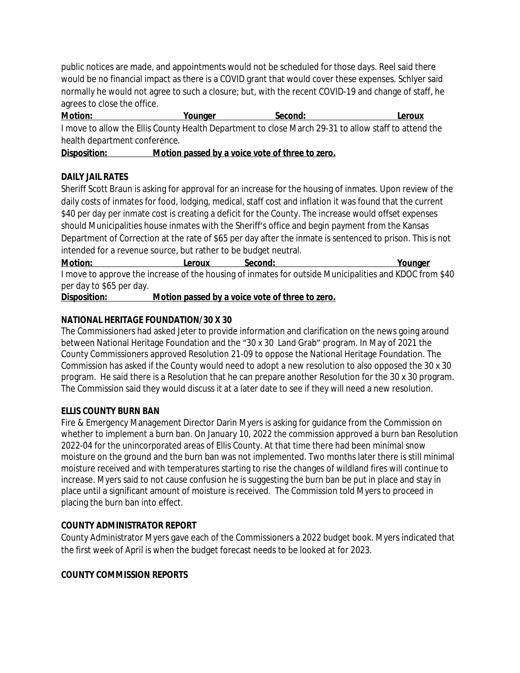public notices are made, and appointments would not be scheduled for those days. Reel said there would be no financial impact as there is a COVID grant that would cover these expenses. Schlyer said normally he would not agree to such a closure; but, with the recent COVID-19 and change of staff, he agrees to close the office.

**Motion: Younger Second: Leroux** I move to allow the Ellis County Health Department to close March 29-31 to allow staff to attend the health department conference.

**Disposition: Motion passed by a voice vote of three to zero.**

## **DAILY JAIL RATES**

Sheriff Scott Braun is asking for approval for an increase for the housing of inmates. Upon review of the daily costs of inmates for food, lodging, medical, staff cost and inflation it was found that the current \$40 per day per inmate cost is creating a deficit for the County. The increase would offset expenses should Municipalities house inmates with the Sheriff's office and begin payment from the Kansas Department of Correction at the rate of \$65 per day after the inmate is sentenced to prison. This is not intended for a revenue source, but rather to be budget neutral.

**Motion:** Leroux Second: Younger I move to approve the increase of the housing of inmates for outside Municipalities and KDOC from \$40

per day to \$65 per day.

**Disposition: Motion passed by a voice vote of three to zero.**

#### **NATIONAL HERITAGE FOUNDATION/30 X 30**

The Commissioners had asked Jeter to provide information and clarification on the news going around between National Heritage Foundation and the "30 x 30 Land Grab" program. In May of 2021 the County Commissioners approved Resolution 21-09 to oppose the National Heritage Foundation. The Commission has asked if the County would need to adopt a new resolution to also opposed the 30 x 30 program. He said there is a Resolution that he can prepare another Resolution for the 30 x 30 program. The Commission said they would discuss it at a later date to see if they will need a new resolution.

## **ELLIS COUNTY BURN BAN**

Fire & Emergency Management Director Darin Myers is asking for guidance from the Commission on whether to implement a burn ban. On January 10, 2022 the commission approved a burn ban Resolution 2022-04 for the unincorporated areas of Ellis County. At that time there had been minimal snow moisture on the ground and the burn ban was not implemented. Two months later there is still minimal moisture received and with temperatures starting to rise the changes of wildland fires will continue to increase. Myers said to not cause confusion he is suggesting the burn ban be put in place and stay in place until a significant amount of moisture is received. The Commission told Myers to proceed in placing the burn ban into effect.

## **COUNTY ADMINISTRATOR REPORT**

County Administrator Myers gave each of the Commissioners a 2022 budget book. Myers indicated that the first week of April is when the budget forecast needs to be looked at for 2023.

## **COUNTY COMMISSION REPORTS**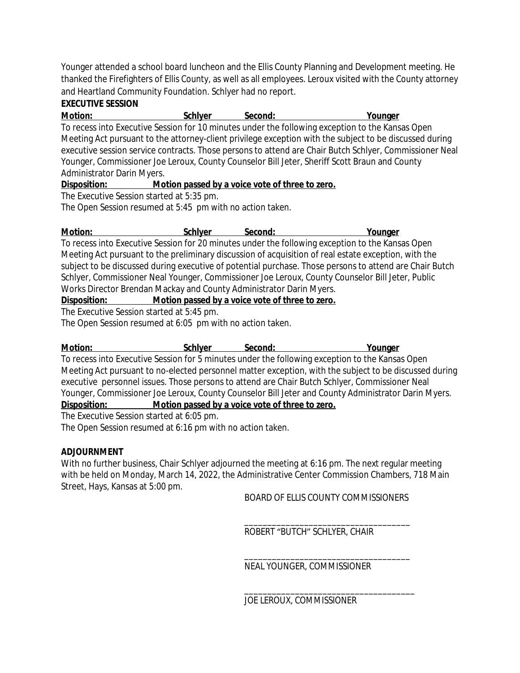Younger attended a school board luncheon and the Ellis County Planning and Development meeting. He thanked the Firefighters of Ellis County, as well as all employees. Leroux visited with the County attorney and Heartland Community Foundation. Schlyer had no report.

# **EXECUTIVE SESSION**

**Motion: Schlyer Second: Younger**

To recess into Executive Session for 10 minutes under the following exception to the Kansas Open Meeting Act pursuant to the attorney-client privilege exception with the subject to be discussed during executive session service contracts. Those persons to attend are Chair Butch Schlyer, Commissioner Neal Younger, Commissioner Joe Leroux, County Counselor Bill Jeter, Sheriff Scott Braun and County Administrator Darin Myers.

**Disposition: Motion passed by a voice vote of three to zero.**

The Executive Session started at 5:35 pm.

The Open Session resumed at 5:45 pm with no action taken.

**Motion: Schlyer Second: Younger**

To recess into Executive Session for 20 minutes under the following exception to the Kansas Open Meeting Act pursuant to the preliminary discussion of acquisition of real estate exception, with the subject to be discussed during executive of potential purchase. Those persons to attend are Chair Butch Schlyer, Commissioner Neal Younger, Commissioner Joe Leroux, County Counselor Bill Jeter, Public Works Director Brendan Mackay and County Administrator Darin Myers.

**Disposition: Motion passed by a voice vote of three to zero.**

The Executive Session started at 5:45 pm.

The Open Session resumed at 6:05 pm with no action taken.

**Motion: Schlyer Second: Younger**

To recess into Executive Session for 5 minutes under the following exception to the Kansas Open Meeting Act pursuant to no-elected personnel matter exception, with the subject to be discussed during executive personnel issues. Those persons to attend are Chair Butch Schlyer, Commissioner Neal Younger, Commissioner Joe Leroux, County Counselor Bill Jeter and County Administrator Darin Myers. **Disposition: Motion passed by a voice vote of three to zero.**

The Executive Session started at 6:05 pm.

The Open Session resumed at 6:16 pm with no action taken.

## **ADJOURNMENT**

With no further business, Chair Schlyer adjourned the meeting at 6:16 pm. The next regular meeting with be held on Monday, March 14, 2022, the Administrative Center Commission Chambers, 718 Main Street, Hays, Kansas at 5:00 pm.

BOARD OF ELLIS COUNTY COMMISSIONERS

\_\_\_\_\_\_\_\_\_\_\_\_\_\_\_\_\_\_\_\_\_\_\_\_\_\_\_\_\_\_\_\_\_\_\_\_

\_\_\_\_\_\_\_\_\_\_\_\_\_\_\_\_\_\_\_\_\_\_\_\_\_\_\_\_\_\_\_\_\_\_\_\_ ROBERT "BUTCH" SCHLYER, CHAIR

NEAL YOUNGER, COMMISSIONER

\_\_\_\_\_\_\_\_\_\_\_\_\_\_\_\_\_\_\_\_\_\_\_\_\_\_\_\_\_\_\_\_\_\_\_\_\_ JOE LEROUX, COMMISSIONER